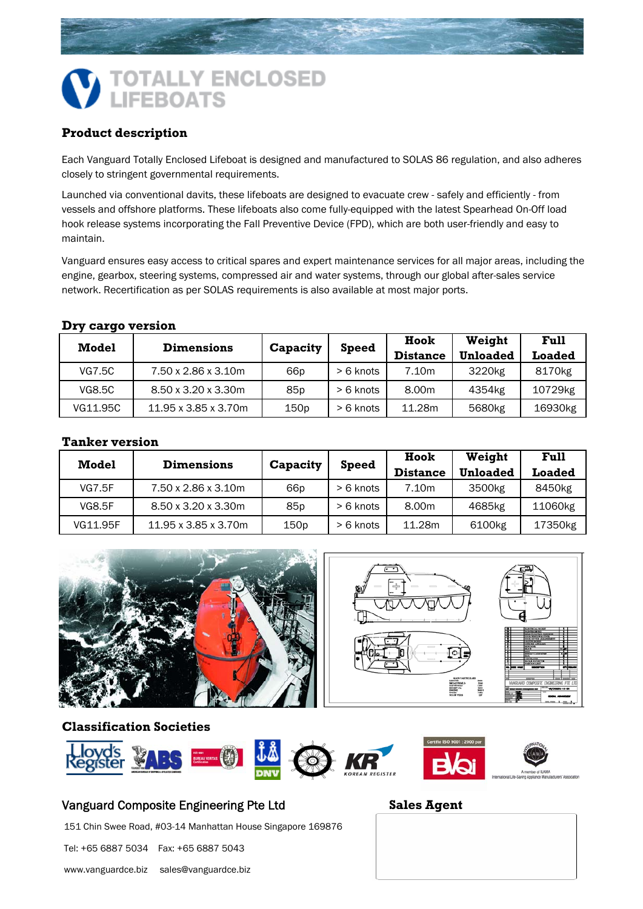# **OTALLY ENCLOSED IFEBOATS**

# **Product description**

Each Vanguard Totally Enclosed Lifeboat is designed and manufactured to SOLAS 86 regulation, and also adheres closely to stringent governmental requirements.

Launched via conventional davits, these lifeboats are designed to evacuate crew - safely and efficiently - from vessels and offshore platforms. These lifeboats also come fully-equipped with the latest Spearhead On-Off load hook release systems incorporating the Fall Preventive Device (FPD), which are both user-friendly and easy to maintain.

Vanguard ensures easy access to critical spares and expert maintenance services for all major areas, including the engine, gearbox, steering systems, compressed air and water systems, through our global after-sales service network. Recertification as per SOLAS requirements is also available at most major ports.

#### **Dry cargo version**

| <b>Model</b>  | <b>Dimensions</b>                | Capacity | <b>Speed</b> | Hook            | Weight             | Full               |
|---------------|----------------------------------|----------|--------------|-----------------|--------------------|--------------------|
|               |                                  |          |              | <b>Distance</b> | <b>Unloaded</b>    | Loaded             |
| VG7.5C        | 7.50 x 2.86 x 3.10m              | 66p      | > 6 knots    | 7.10m           | 3220 <sub>kg</sub> | 8170 <sub>kg</sub> |
| <b>VG8.5C</b> | $8.50 \times 3.20 \times 3.30$ m | 85p      | > 6 knots    | 8.00m           | 4354kg             | 10729kg            |
| VG11.95C      | 11.95 x 3.85 x 3.70m             | 150p     | > 6 knots    | 11.28m          | 5680 <sub>kg</sub> | 16930kg            |

### **Tanker version**

| <b>Model</b>  | <b>Dimensions</b>                | Capacity        | <b>Speed</b> | Hook            | Weight             | Full          |
|---------------|----------------------------------|-----------------|--------------|-----------------|--------------------|---------------|
|               |                                  |                 |              | <b>Distance</b> | <b>Unloaded</b>    | <b>Loaded</b> |
| <b>VG7.5F</b> | 7.50 x 2.86 x 3.10m              | 66p             | > 6 knots    | 7.10m           | 3500 <sub>kg</sub> | 8450kg        |
| <b>VG8.5F</b> | $8.50 \times 3.20 \times 3.30$ m | 85 <sub>p</sub> | > 6 knots    | 8.00m           | 4685kg             | 11060kg       |
| VG11.95F      | 11.95 x 3.85 x 3.70m             | 150p            | > 6 knots    | 11.28m          | 6100kg             | 17350kg       |



#### **Classification Societies**



# Vanguard Composite Engineering Pte Ltd **Sales Agent**

151 Chin Swee Road, #03-14 Manhattan House Singapore 169876

Tel: +65 6887 5034 Fax: +65 6887 5043

www.vanguardce.biz sales@vanguardce.biz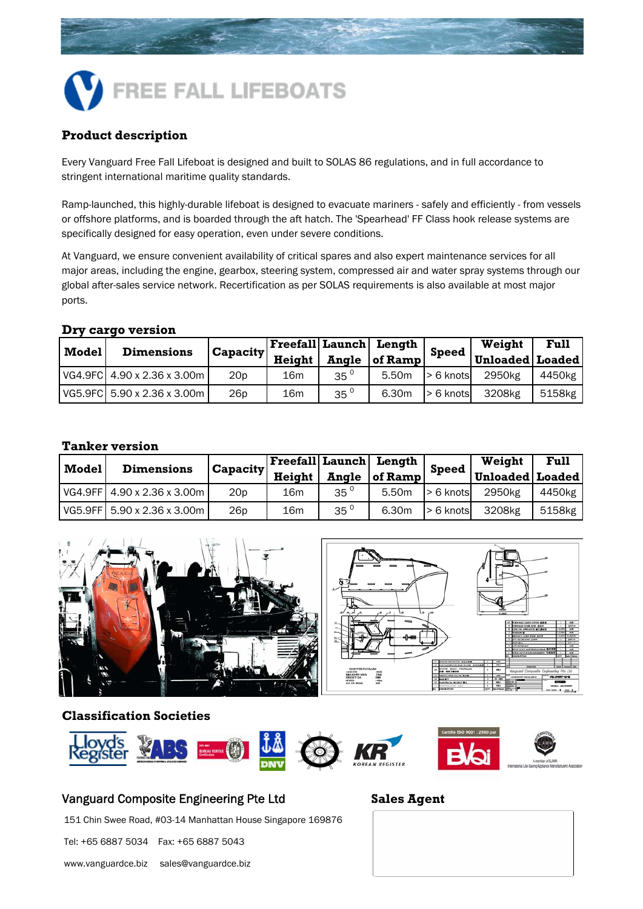

# **Product description**

Every Vanguard Free Fall Lifeboat is designed and built to SOLAS 86 regulations, and in full accordance to stringent international maritime quality standards.

Ramp-launched, this highly-durable lifeboat is designed to evacuate mariners - safely and efficiently - from vessels or offshore platforms, and is boarded through the aft hatch. The 'Spearhead' FF Class hook release systems are specifically designed for easy operation, even under severe conditions.

At Vanguard, we ensure convenient availability of critical spares and also expert maintenance services for all major areas, including the engine, gearbox, steering system, compressed air and water spray systems through our global after-sales service network. Recertification as per SOLAS requirements is also available at most major ports.

#### **Dry cargo version**

| Model | <b>Dimensions</b>           | <b>Capacity</b> |        |                 | Freefall Launch Length | <b>Speed</b> | Weight          | Full   |
|-------|-----------------------------|-----------------|--------|-----------------|------------------------|--------------|-----------------|--------|
|       |                             |                 | Height | Angle           | of Ramp                |              | Unloaded Loaded |        |
|       | VG4.9FC 4.90 x 2.36 x 3.00m | 20 <sub>p</sub> | 16m    | 35 <sup>o</sup> | 5.50m                  | $> 6$ knots  | 2950kg          | 4450kg |
|       | VG5.9FC 5.90 x 2.36 x 3.00m | 26 <sub>p</sub> | 16m    | $35^{\circ}$    | 6.30m                  | $> 6$ knots  | 3208kg          | 5158kg |

#### **Tanker version**

| <b>Model</b> | <b>Dimensions</b>                             | <b>Capacity</b> | Height          | <b>Angle</b>    | Freefall  Launch   Length<br>of Ramp | <b>Speed</b> | Weight<br>Unloaded   Loaded | Full   |
|--------------|-----------------------------------------------|-----------------|-----------------|-----------------|--------------------------------------|--------------|-----------------------------|--------|
|              | $\sqrt{64.9}$ FF $\sqrt{4.90}$ x 2.36 x 3.00m | 20 <sub>p</sub> | 16m             | 35 <sup>0</sup> | 5.50m                                | > 6 knots    | 2950 <sub>kg</sub>          | 4450kg |
|              | l VG5.9FF1 5.90 x 2.36 x 3.00m l              | 26 <sub>p</sub> | 16 <sub>m</sub> | 35 <sup>o</sup> | 6.30m                                | > 6 knots    | 3208kg                      | 5158kg |



#### **Classification Societies**



### Vanguard Composite Engineering Pte Ltd **Sales Agent**

151 Chin Swee Road, #03-14 Manhattan House Singapore 169876

Tel: +65 6887 5034 Fax: +65 6887 5043

www.vanguardce.biz sales@vanguardce.biz